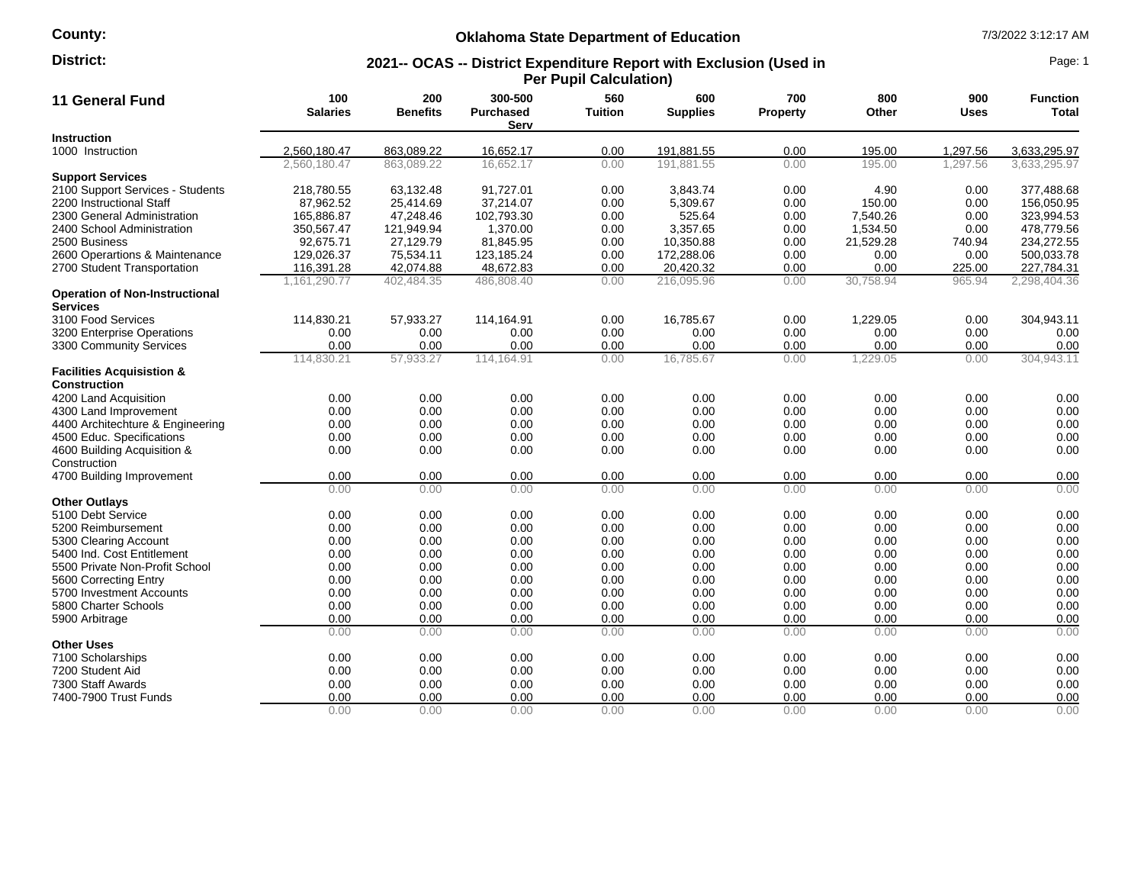# **County:**

# **Oklahoma State Department of Education** 7/3/2022 3:12:17 AM

### **2021-- OCAS -- District Expenditure Report with Exclusion (Used in Per Pupil Calculation) District:** Page: 1

| 11 General Fund                                             | 100<br><b>Salaries</b> | 200<br><b>Benefits</b> | 300-500<br><b>Purchased</b><br>Serv | 560<br><b>Tuition</b> | 600<br><b>Supplies</b> | 700<br>Property | 800<br>Other | 900<br><b>Uses</b> | <b>Function</b><br>Total |
|-------------------------------------------------------------|------------------------|------------------------|-------------------------------------|-----------------------|------------------------|-----------------|--------------|--------------------|--------------------------|
| <b>Instruction</b>                                          |                        |                        |                                     |                       |                        |                 |              |                    |                          |
| 1000 Instruction                                            | 2,560,180.47           | 863,089.22             | 16,652.17                           | 0.00                  | 191,881.55             | 0.00            | 195.00       | 1,297.56           | 3,633,295.97             |
|                                                             | 2,560,180.47           | 863.089.22             | 16,652.17                           | 0.00                  | 191.881.55             | 0.00            | 195.00       | 1.297.56           | 3,633,295.97             |
| <b>Support Services</b>                                     |                        |                        |                                     |                       |                        |                 |              |                    |                          |
| 2100 Support Services - Students                            | 218,780.55             | 63,132.48              | 91,727.01                           | 0.00                  | 3,843.74               | 0.00            | 4.90         | 0.00               | 377,488.68               |
| 2200 Instructional Staff                                    | 87,962.52              | 25,414.69              | 37,214.07                           | 0.00                  | 5,309.67               | 0.00            | 150.00       | 0.00               | 156,050.95               |
| 2300 General Administration                                 | 165.886.87             | 47.248.46              | 102,793.30                          | 0.00                  | 525.64                 | 0.00            | 7.540.26     | 0.00               | 323.994.53               |
| 2400 School Administration                                  | 350,567.47             | 121,949.94             | 1,370.00                            | 0.00                  | 3,357.65               | 0.00            | 1,534.50     | 0.00               | 478,779.56               |
| 2500 Business                                               | 92,675.71              | 27,129.79              | 81,845.95                           | 0.00                  | 10,350.88              | 0.00            | 21,529.28    | 740.94             | 234,272.55               |
| 2600 Operartions & Maintenance                              | 129,026.37             | 75,534.11              | 123,185.24                          | 0.00                  | 172,288.06             | 0.00            | 0.00         | 0.00               | 500,033.78               |
| 2700 Student Transportation                                 | 116,391.28             | 42,074.88              | 48,672.83                           | 0.00                  | 20,420.32              | 0.00            | 0.00         | 225.00             | 227,784.31               |
|                                                             | 1,161,290.77           | 402,484.35             | 486,808.40                          | 0.00                  | 216,095.96             | 0.00            | 30,758.94    | 965.94             | 2,298,404.36             |
| <b>Operation of Non-Instructional</b><br><b>Services</b>    |                        |                        |                                     |                       |                        |                 |              |                    |                          |
| 3100 Food Services                                          | 114,830.21             | 57,933.27              | 114,164.91                          | 0.00                  | 16,785.67              | 0.00            | 1,229.05     | 0.00               | 304,943.11               |
| 3200 Enterprise Operations                                  | 0.00                   | 0.00                   | 0.00                                | 0.00                  | 0.00                   | 0.00            | 0.00         | 0.00               | 0.00                     |
| 3300 Community Services                                     | 0.00                   | 0.00                   | 0.00                                | 0.00                  | 0.00                   | 0.00            | 0.00         | 0.00               | 0.00                     |
|                                                             | 114,830.21             | 57,933.27              | 114,164.91                          | 0.00                  | 16,785.67              | 0.00            | 1,229.05     | 0.00               | 304,943.11               |
| <b>Facilities Acquisistion &amp;</b><br><b>Construction</b> |                        |                        |                                     |                       |                        |                 |              |                    |                          |
| 4200 Land Acquisition                                       | 0.00                   | 0.00                   | 0.00                                | 0.00                  | 0.00                   | 0.00            | 0.00         | 0.00               | 0.00                     |
| 4300 Land Improvement                                       | 0.00                   | 0.00                   | 0.00                                | 0.00                  | 0.00                   | 0.00            | 0.00         | 0.00               | 0.00                     |
| 4400 Architechture & Engineering                            | 0.00                   | 0.00                   | 0.00                                | 0.00                  | 0.00                   | 0.00            | 0.00         | 0.00               | 0.00                     |
| 4500 Educ. Specifications                                   | 0.00                   | 0.00                   | 0.00                                | 0.00                  | 0.00                   | 0.00            | 0.00         | 0.00               | 0.00                     |
| 4600 Building Acquisition &                                 | 0.00                   | 0.00                   | 0.00                                | 0.00                  | 0.00                   | 0.00            | 0.00         | 0.00               | 0.00                     |
| Construction                                                |                        |                        |                                     |                       |                        |                 |              |                    |                          |
| 4700 Building Improvement                                   | 0.00                   | 0.00                   | 0.00                                | 0.00                  | 0.00                   | 0.00            | 0.00         | 0.00               | 0.00                     |
|                                                             | 0.00                   | 0.00                   | 0.00                                | 0.00                  | 0.00                   | 0.00            | 0.00         | 0.00               | 0.00                     |
| <b>Other Outlays</b>                                        |                        |                        |                                     |                       |                        |                 |              |                    |                          |
| 5100 Debt Service                                           | 0.00                   | 0.00                   | 0.00                                | 0.00                  | 0.00                   | 0.00            | 0.00         | 0.00               | 0.00                     |
| 5200 Reimbursement                                          | 0.00                   | 0.00                   | 0.00                                | 0.00                  | 0.00                   | 0.00            | 0.00         | 0.00               | 0.00                     |
| 5300 Clearing Account                                       | 0.00                   | 0.00                   | 0.00                                | 0.00                  | 0.00                   | 0.00            | 0.00         | 0.00               | 0.00                     |
| 5400 Ind. Cost Entitlement                                  | 0.00                   | 0.00                   | 0.00                                | 0.00                  | 0.00                   | 0.00            | 0.00         | 0.00               | 0.00                     |
| 5500 Private Non-Profit School                              | 0.00                   | 0.00                   | 0.00                                | 0.00                  | 0.00                   | 0.00            | 0.00         | 0.00               | 0.00                     |
| 5600 Correcting Entry                                       | 0.00                   | 0.00                   | 0.00                                | 0.00                  | 0.00                   | 0.00            | 0.00         | 0.00               | 0.00                     |
| 5700 Investment Accounts                                    | 0.00                   | 0.00                   | 0.00                                | 0.00                  | 0.00                   | 0.00            | 0.00         | 0.00               | 0.00                     |
| 5800 Charter Schools                                        | 0.00                   | 0.00                   | 0.00                                | 0.00                  | 0.00                   | 0.00            | 0.00         | 0.00               | 0.00                     |
| 5900 Arbitrage                                              | 0.00                   | 0.00                   | 0.00                                | 0.00                  | 0.00                   | 0.00            | 0.00         | 0.00               | 0.00                     |
|                                                             | 0.00                   | 0.00                   | 0.00                                | 0.00                  | 0.00                   | 0.00            | 0.00         | 0.00               | 0.00                     |
| <b>Other Uses</b>                                           |                        |                        |                                     |                       |                        |                 |              |                    |                          |
| 7100 Scholarships                                           | 0.00                   | 0.00                   | 0.00                                | 0.00                  | 0.00                   | 0.00            | 0.00         | 0.00               | 0.00                     |
| 7200 Student Aid                                            | 0.00                   | 0.00                   | 0.00                                | 0.00                  | 0.00                   | 0.00            | 0.00         | 0.00               | 0.00                     |
| 7300 Staff Awards                                           | 0.00                   | 0.00                   | 0.00                                | 0.00                  | 0.00                   | 0.00            | 0.00         | 0.00               | 0.00                     |
| 7400-7900 Trust Funds                                       | 0.00                   | 0.00                   | 0.00                                | 0.00                  | 0.00                   | 0.00            | 0.00         | 0.00               | 0.00                     |
|                                                             | 0.00                   | 0.00                   | 0.00                                | 0.00                  | 0.00                   | 0.00            | 0.00         | 0.00               | 0.00                     |
|                                                             |                        |                        |                                     |                       |                        |                 |              |                    |                          |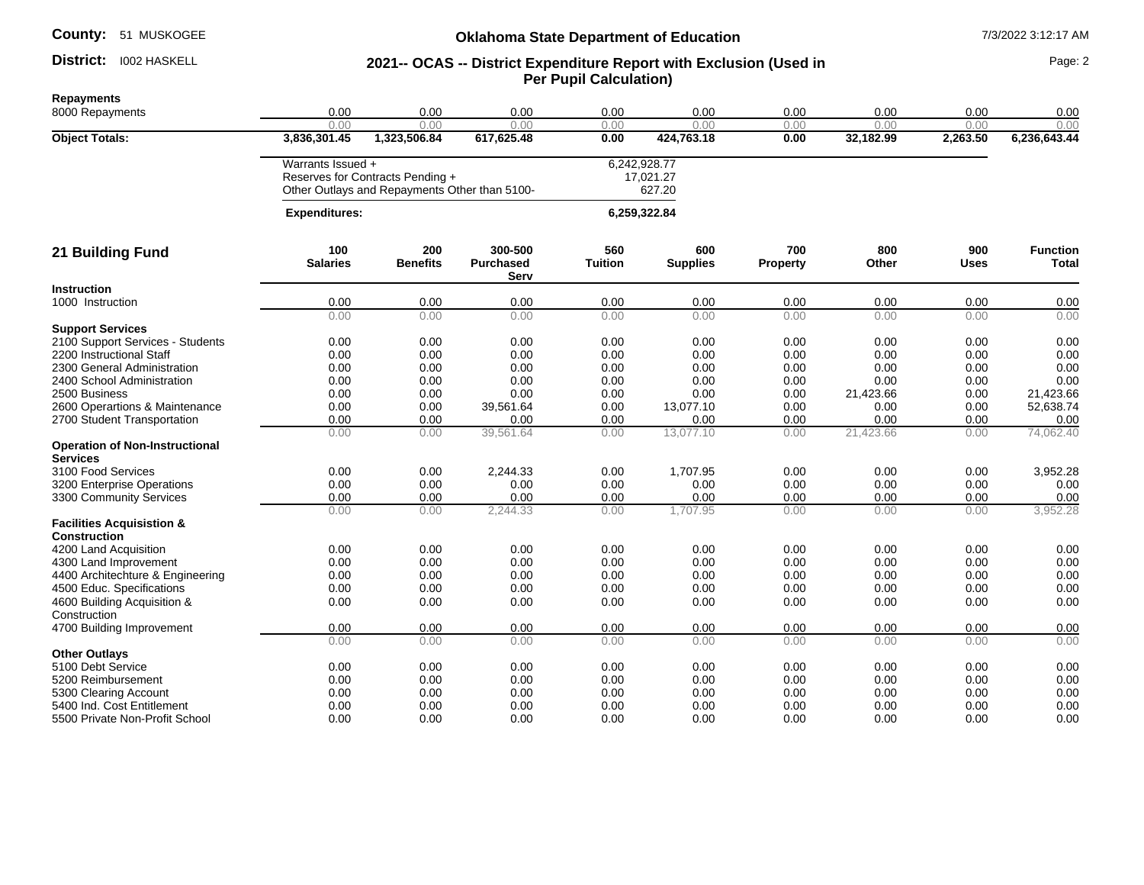### District: 1002 HASKELL

### **Oklahoma State Department of Education 1/3/2022 3:12:17 AM**

## **District:** 1002 HASKELL **1002 AS 2021-- OCAS -- District Expenditure Report with Exclusion (Used in Page: 2 Per Pupil Calculation)**

**Repayments** 8000 Repayments 0.00 0.00 0.00 0.00 0.00 0.00 0.00 0.00 0.00 0.00 0.00 0.00 0.00 0.00 0.00 0.00 0.00 **Object Totals: 3,836,301.45 1,323,506.84 617,625.48 0.00 424,763.18 0.00 32,182.99 2,263.50 6,236,643.44** Warrants Issued + 6,242,928.77 Reserves for Contracts Pending + Other Outlays and Repayments Other than 5100- 17,021.27 627.20  **Expenditures: 6,259,322.84 21 Building Fund 100 Salaries 200 Benefits 300-500 Purchased Serv 560 Tuition 600 Supplies 700 Property 800 Other 900 Uses Function Total Instruction**<br>1000 Instruction 1000 Instruction 0.00 0.00 0.00 0.00 0.00 0.00 0.00 0.00 0.00 0.00 0.00 0.00 0.00 0.00 0.00 0.00 0.00 **Support Services** 2100 Support Services - Students 0.00 0.00 0.00 0.00 0.00 0.00 0.00 0.00 0.00 2200 Instructional Staff 0.00 0.00 0.00 0.00 0.00 0.00 0.00 0.00 0.00 2300 General Administration 0.00 0.00 0.00 0.00 0.00 0.00 0.00 0.00 0.00 2400 School Administration 0.00 0.00 0.00 0.00 0.00 0.00 0.00 0.00 2500 Business 0.00 0.00 0.00 0.00 0.00 0.00 21,423.66 0.00 21,423.66 2600 Operartions & Maintenance  $\begin{array}{cccc} 0.00 & 0.00 & 39,561.64 & 0.00 & 13,077.10 & 0.00 & 0.00 & 0.00 & 52,638.74 \end{array}$ 2700 Student Transportation 0.00 0.00 0.00 0.00 0.00 0.00 0.00 0.00 0.00 0.00 0.00 39,561.64 0.00 13,077.10 0.00 21,423.66 0.00 74,062.40 **Operation of Non-Instructional Services**<br>3100 Food Services 3100 Food Services 0.00 0.00 2,244.33 0.00 1,707.95 0.00 0.00 0.00 3,952.28 3200 Enterprise Operations 0.00 0.00 0.00 0.00 0.00 0.00 0.00 0.00 0.00 3300 Community Services **12 a. 200 community Services** 1.000 community Services 1.000 community Services 1.000 community Services 1.000 community Services 1.000 community Services 1.000 community Services 1.000 community S 0.00 0.00 2,244.33 0.00 1,707.95 0.00 0.00 0.00 3,952.28 **Facilities Acquisistion & Construction** 4200 Land Acquisition 0.00 0.00 0.00 0.00 0.00 0.00 0.00 0.00 0.00 4300 Land Improvement 0.00 0.00 0.00 0.00 0.00 0.00 0.00 0.00 0.00 4400 Architechture & Engineering 0.00 0.00 0.00 0.00 0.00 0.00 0.00 0.00 0.00 4500 Educ. Specifications 0.00 0.00 0.00 0.00 0.00 0.00 0.00 0.00 0.00 4600 Building Acquisition & **Construction** 0.00 0.00 0.00 0.00 0.00 0.00 0.00 0.00 0.00 4700 Building Improvement 0.00 0.00 0.00 0.00 0.00 0.00 0.00 0.00 0.00 0.00 0.00 0.00 0.00 0.00 0.00 0.00 0.00 0.00 **Other Outlays**<br>5100 Debt Service 5100 Debt Service 0.00 0.00 0.00 0.00 0.00 0.00 0.00 0.00 5200 Reimbursement 0.00 0.00 0.00 0.00 0.00 0.00 0.00 0.00 0.00 5300 Clearing Account 0.00 0.00 0.00 0.00 0.00 0.00 0.00 0.00 5400 Ind. Cost Entitlement 0.00 0.00 0.00 0.00 0.00 0.00 0.00 0.00 0.00 5500 Private Non-Profit School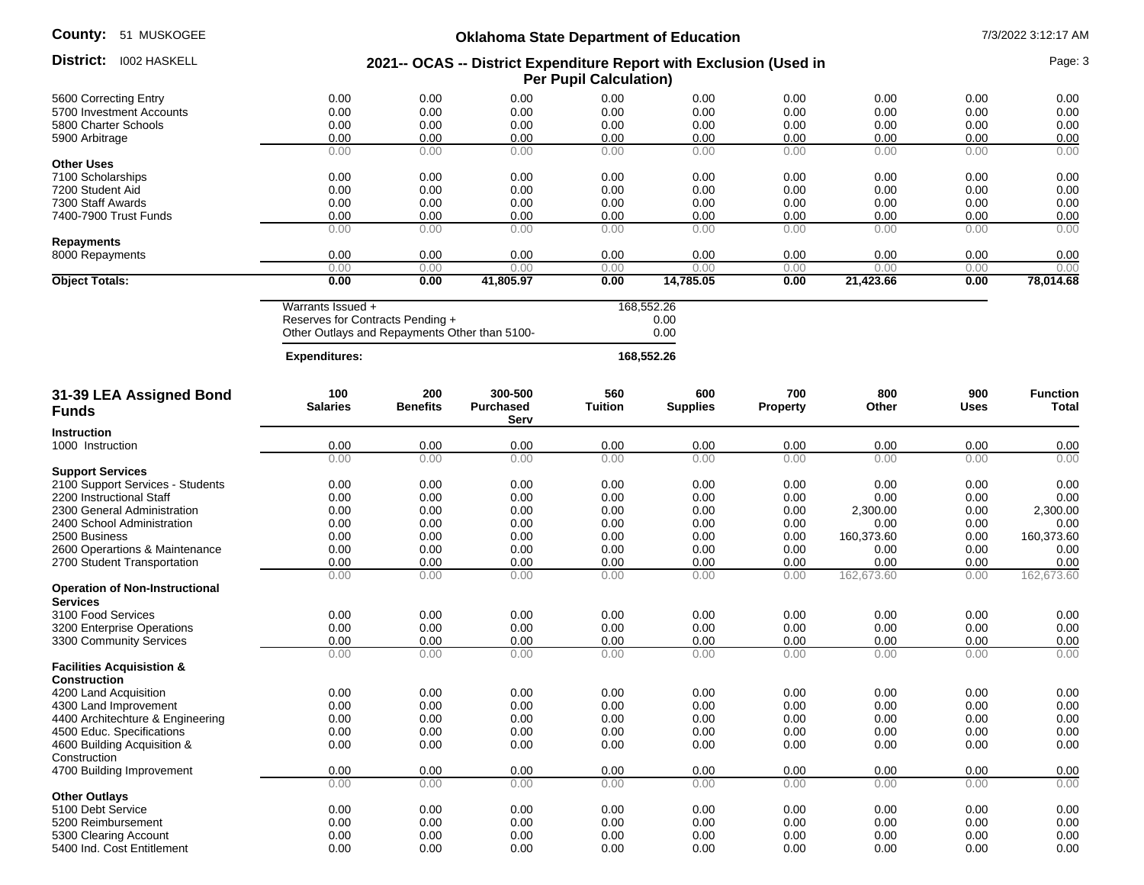| <b>County: 51 MUSKOGEE</b>                                  | <b>Oklahoma State Department of Education</b>                                                          |                        |                                     |                            |                        |                        |                    | 7/3/2022 3:12:17 AM |                          |  |
|-------------------------------------------------------------|--------------------------------------------------------------------------------------------------------|------------------------|-------------------------------------|----------------------------|------------------------|------------------------|--------------------|---------------------|--------------------------|--|
| District: 1002 HASKELL                                      | 2021-- OCAS -- District Expenditure Report with Exclusion (Used in<br><b>Per Pupil Calculation)</b>    |                        |                                     |                            |                        |                        |                    | Page: 3             |                          |  |
| 5600 Correcting Entry                                       | 0.00                                                                                                   | 0.00                   | 0.00                                | 0.00                       | 0.00                   | 0.00                   | 0.00               | 0.00                | 0.00                     |  |
| 5700 Investment Accounts                                    | 0.00                                                                                                   | 0.00                   | 0.00                                | 0.00                       | 0.00                   | 0.00                   | 0.00               | 0.00                | 0.00                     |  |
| 5800 Charter Schools                                        | 0.00                                                                                                   | 0.00                   | 0.00                                | 0.00                       | 0.00                   | 0.00                   | 0.00               | 0.00                | 0.00                     |  |
| 5900 Arbitrage                                              | 0.00                                                                                                   | 0.00                   | 0.00                                | 0.00                       | 0.00                   | 0.00                   | 0.00               | 0.00                | 0.00                     |  |
|                                                             | 0.00                                                                                                   | 0.00                   | 0.00                                | 0.00                       | 0.00                   | 0.00                   | 0.00               | 0.00                | 0.00                     |  |
| <b>Other Uses</b>                                           |                                                                                                        |                        |                                     |                            |                        |                        |                    |                     |                          |  |
| 7100 Scholarships                                           | 0.00                                                                                                   | 0.00                   | 0.00                                | 0.00                       | 0.00                   | 0.00                   | 0.00               | 0.00                | 0.00                     |  |
| 7200 Student Aid                                            | 0.00                                                                                                   | 0.00                   | 0.00                                | 0.00                       | 0.00                   | 0.00                   | 0.00               | 0.00                | 0.00                     |  |
| 7300 Staff Awards                                           | 0.00                                                                                                   | 0.00                   | 0.00                                | 0.00                       | 0.00                   | 0.00                   | 0.00               | 0.00                | 0.00                     |  |
| 7400-7900 Trust Funds                                       | 0.00<br>0.00                                                                                           | 0.00<br>0.00           | 0.00<br>0.00                        | 0.00<br>0.00               | 0.00<br>0.00           | 0.00<br>0.00           | 0.00<br>0.00       | 0.00<br>0.00        | 0.00<br>0.00             |  |
| <b>Repayments</b>                                           |                                                                                                        |                        |                                     |                            |                        |                        |                    |                     |                          |  |
| 8000 Repayments                                             | 0.00                                                                                                   | 0.00                   | 0.00                                | 0.00                       | 0.00                   | 0.00                   | 0.00               | 0.00                | 0.00                     |  |
| <b>Object Totals:</b>                                       | 0.00<br>0.00                                                                                           | 0.00<br>0.00           | 0.00<br>41,805.97                   | 0.00<br>0.00               | 0.00<br>14,785.05      | 0.00<br>0.00           | 0.00<br>21,423.66  | 0.00<br>0.00        | 0.00<br>78,014.68        |  |
|                                                             |                                                                                                        |                        |                                     |                            |                        |                        |                    |                     |                          |  |
|                                                             | Warrants Issued +<br>Reserves for Contracts Pending +<br>Other Outlays and Repayments Other than 5100- |                        |                                     | 168,552.26<br>0.00<br>0.00 |                        |                        |                    |                     |                          |  |
|                                                             | <b>Expenditures:</b>                                                                                   |                        |                                     |                            | 168,552.26             |                        |                    |                     |                          |  |
| 31-39 LEA Assigned Bond<br><b>Funds</b>                     | 100<br><b>Salaries</b>                                                                                 | 200<br><b>Benefits</b> | 300-500<br><b>Purchased</b><br>Serv | 560<br><b>Tuition</b>      | 600<br><b>Supplies</b> | 700<br><b>Property</b> | 800<br>Other       | 900<br><b>Uses</b>  | <b>Function</b><br>Total |  |
| <b>Instruction</b>                                          |                                                                                                        |                        |                                     |                            |                        |                        |                    |                     |                          |  |
| 1000 Instruction                                            | 0.00                                                                                                   | 0.00                   | 0.00                                | 0.00                       | 0.00                   | 0.00                   | 0.00               | 0.00                | 0.00                     |  |
|                                                             | 0.00                                                                                                   | 0.00                   | 0.00                                | 0.00                       | 0.00                   | 0.00                   | 0.00               | 0.00                | 0.00                     |  |
| <b>Support Services</b>                                     |                                                                                                        |                        |                                     |                            |                        |                        |                    |                     |                          |  |
| 2100 Support Services - Students                            | 0.00                                                                                                   | 0.00                   | 0.00                                | 0.00                       | 0.00                   | 0.00                   | 0.00               | 0.00                | 0.00                     |  |
| 2200 Instructional Staff                                    | 0.00                                                                                                   | 0.00                   | 0.00                                | 0.00                       | 0.00                   | 0.00                   | 0.00               | 0.00                | 0.00                     |  |
| 2300 General Administration                                 | 0.00                                                                                                   | 0.00                   | 0.00                                | 0.00                       | 0.00                   | 0.00                   | 2,300.00           | 0.00                | 2,300.00                 |  |
| 2400 School Administration                                  | 0.00                                                                                                   | 0.00                   | 0.00                                | 0.00                       | 0.00                   | 0.00                   | 0.00               | 0.00                | 0.00                     |  |
| 2500 Business                                               | 0.00                                                                                                   | 0.00                   | 0.00                                | 0.00                       | 0.00                   | 0.00                   | 160,373.60         | 0.00                | 160,373.60               |  |
| 2600 Operartions & Maintenance                              | 0.00                                                                                                   | 0.00                   | 0.00                                | 0.00                       | 0.00                   | 0.00                   | 0.00               | 0.00                | 0.00                     |  |
| 2700 Student Transportation                                 | 0.00<br>0.00                                                                                           | 0.00<br>0.00           | 0.00<br>0.00                        | 0.00<br>0.00               | 0.00<br>0.00           | 0.00<br>0.00           | 0.00<br>162,673.60 | 0.00<br>0.00        | 0.00<br>162,673.60       |  |
| <b>Operation of Non-Instructional</b><br><b>Services</b>    |                                                                                                        |                        |                                     |                            |                        |                        |                    |                     |                          |  |
| 3100 Food Services                                          | 0.00                                                                                                   | 0.00                   | 0.00                                | 0.00                       | 0.00                   | 0.00                   | 0.00               | 0.00                | 0.00                     |  |
| 3200 Enterprise Operations                                  | 0.00                                                                                                   | 0.00                   | 0.00                                | 0.00                       | 0.00                   | 0.00                   | 0.00               | 0.00                | 0.00                     |  |
| 3300 Community Services                                     | 0.00                                                                                                   | 0.00                   | 0.00                                | 0.00                       | 0.00                   | 0.00                   | 0.00               | 0.00                | 0.00                     |  |
|                                                             | 0.00                                                                                                   | 0.00                   | 0.00                                | 0.00                       | 0.00                   | 0.00                   | 0.00               | 0.00                | 0.00                     |  |
| <b>Facilities Acquisistion &amp;</b><br><b>Construction</b> |                                                                                                        |                        |                                     |                            |                        |                        |                    |                     |                          |  |
| 4200 Land Acquisition                                       | 0.00                                                                                                   | 0.00                   | 0.00                                | 0.00                       | 0.00                   | 0.00                   | 0.00               | 0.00                | 0.00                     |  |
| 4300 Land Improvement                                       | 0.00                                                                                                   | 0.00                   | 0.00                                | 0.00                       | 0.00                   | 0.00                   | 0.00               | 0.00                | 0.00                     |  |
| 4400 Architechture & Engineering                            | 0.00                                                                                                   | 0.00                   | 0.00                                | 0.00                       | 0.00                   | 0.00                   | 0.00               | 0.00                | 0.00                     |  |
| 4500 Educ. Specifications                                   | 0.00                                                                                                   | 0.00                   | 0.00                                | 0.00                       | 0.00                   | 0.00                   | 0.00               | 0.00                | 0.00                     |  |
| 4600 Building Acquisition &                                 | 0.00                                                                                                   | 0.00                   | 0.00                                | 0.00                       | 0.00                   | 0.00                   | 0.00               | 0.00                | 0.00                     |  |
| Construction                                                |                                                                                                        |                        |                                     |                            |                        |                        |                    |                     |                          |  |
| 4700 Building Improvement                                   | 0.00                                                                                                   | 0.00                   | 0.00                                | 0.00                       | 0.00                   | 0.00                   | 0.00               | 0.00                | 0.00                     |  |
|                                                             | 0.00                                                                                                   | 0.00                   | 0.00                                | 0.00                       | 0.00                   | 0.00                   | 0.00               | 0.00                | 0.00                     |  |
| <b>Other Outlays</b>                                        |                                                                                                        |                        |                                     |                            |                        |                        |                    |                     |                          |  |
| 5100 Debt Service                                           | 0.00                                                                                                   | 0.00                   | 0.00                                | 0.00                       | 0.00                   | 0.00                   | 0.00               | 0.00                | 0.00                     |  |
| 5200 Reimbursement                                          | 0.00                                                                                                   | 0.00                   | 0.00                                | 0.00                       | 0.00                   | 0.00                   | 0.00               | 0.00                | 0.00                     |  |
| 5300 Clearing Account                                       | 0.00                                                                                                   | 0.00                   | 0.00                                | 0.00                       | 0.00                   | 0.00                   | 0.00               | 0.00                | 0.00                     |  |
| 5400 Ind. Cost Entitlement                                  | 0.00                                                                                                   | 0.00                   | 0.00                                | 0.00                       | 0.00                   | 0.00                   | 0.00               | 0.00                | 0.00                     |  |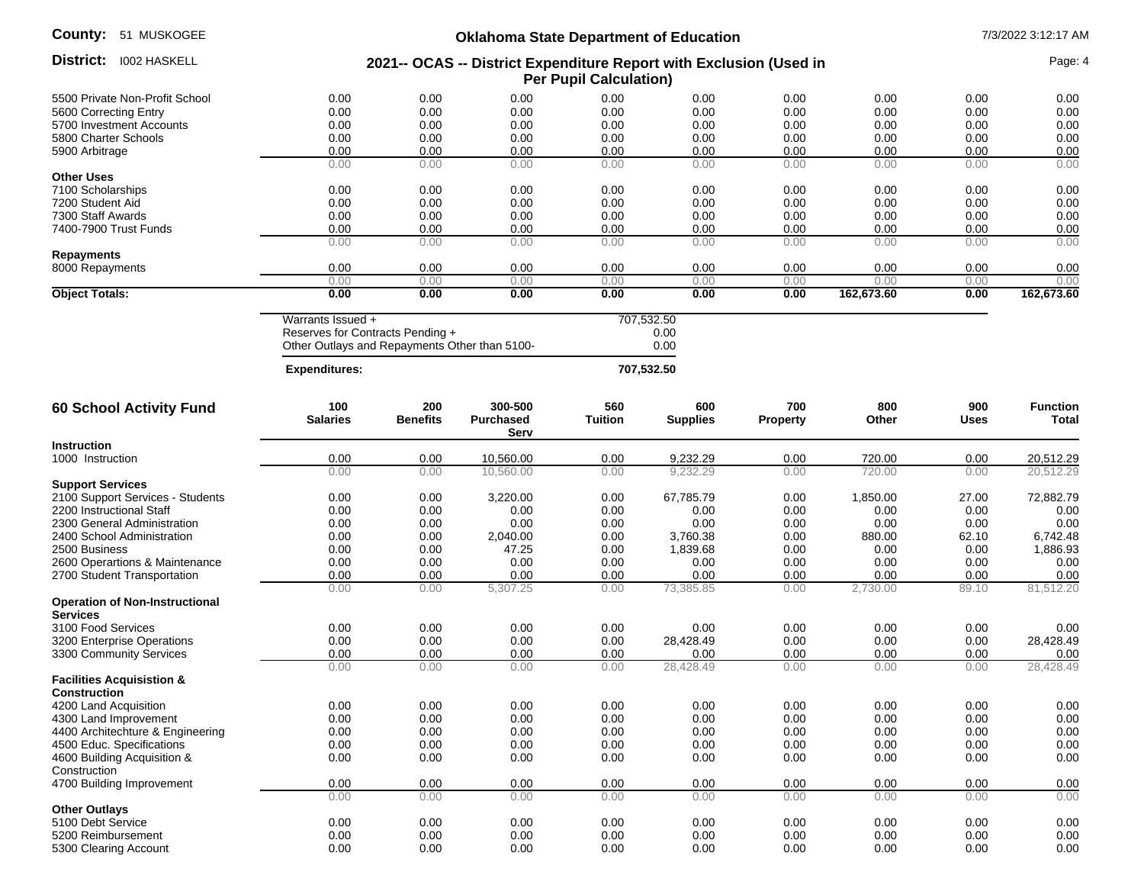| <b>County: 51 MUSKOGEE</b>            | <b>Oklahoma State Department of Education</b><br>2021-- OCAS -- District Expenditure Report with Exclusion (Used in<br><b>Per Pupil Calculation)</b> |                 |                          |         |                 |                 |            |       | 7/3/2022 3:12:17 AM |  |
|---------------------------------------|------------------------------------------------------------------------------------------------------------------------------------------------------|-----------------|--------------------------|---------|-----------------|-----------------|------------|-------|---------------------|--|
| District: 1002 HASKELL                |                                                                                                                                                      |                 |                          |         |                 |                 |            |       | Page: 4             |  |
| 5500 Private Non-Profit School        | 0.00                                                                                                                                                 | 0.00            | 0.00                     | 0.00    | 0.00            | 0.00            | 0.00       | 0.00  | 0.00                |  |
| 5600 Correcting Entry                 | 0.00                                                                                                                                                 | 0.00            | 0.00                     | 0.00    | 0.00            | 0.00            | 0.00       | 0.00  | 0.00                |  |
| 5700 Investment Accounts              | 0.00                                                                                                                                                 | 0.00            | 0.00                     | 0.00    | 0.00            | 0.00            | 0.00       | 0.00  | 0.00                |  |
| 5800 Charter Schools                  | 0.00                                                                                                                                                 | 0.00            | 0.00                     | 0.00    | 0.00            | 0.00            | 0.00       | 0.00  | 0.00                |  |
| 5900 Arbitrage                        | 0.00                                                                                                                                                 | 0.00            | 0.00                     | 0.00    | 0.00            | 0.00            | 0.00       | 0.00  | 0.00                |  |
|                                       | 0.00                                                                                                                                                 | 0.00            | 0.00                     | 0.00    | 0.00            | 0.00            | 0.00       | 0.00  | 0.00                |  |
| <b>Other Uses</b>                     |                                                                                                                                                      |                 |                          |         |                 |                 |            |       |                     |  |
| 7100 Scholarships                     | 0.00                                                                                                                                                 | 0.00            | 0.00                     | 0.00    | 0.00            | 0.00            | 0.00       | 0.00  | 0.00                |  |
| 7200 Student Aid                      | 0.00                                                                                                                                                 | 0.00            | 0.00                     | 0.00    | 0.00            | 0.00            | 0.00       | 0.00  | 0.00                |  |
| 7300 Staff Awards                     | 0.00                                                                                                                                                 | 0.00            | 0.00                     | 0.00    | 0.00            | 0.00            | 0.00       | 0.00  | 0.00                |  |
| 7400-7900 Trust Funds                 | 0.00                                                                                                                                                 | 0.00            | 0.00                     | 0.00    | 0.00            | 0.00            | 0.00       | 0.00  | 0.00                |  |
|                                       | 0.00                                                                                                                                                 | 0.00            | 0.00                     | 0.00    | 0.00            | 0.00            | 0.00       | 0.00  | 0.00                |  |
| <b>Repayments</b>                     |                                                                                                                                                      |                 |                          |         |                 |                 |            |       |                     |  |
| 8000 Repayments                       | 0.00                                                                                                                                                 | 0.00            | 0.00                     | 0.00    | 0.00            | 0.00            | 0.00       | 0.00  | 0.00                |  |
|                                       | 0.00                                                                                                                                                 | 0.00            | 0.00                     | 0.00    | 0.00            | 0.00            | 0.00       | 0.00  | 0.00                |  |
| <b>Object Totals:</b>                 | 0.00                                                                                                                                                 | 0.00            | 0.00                     | 0.00    | 0.00            | 0.00            | 162,673.60 | 0.00  | 162,673.60          |  |
|                                       | Warrants Issued +<br>Reserves for Contracts Pending +                                                                                                |                 | 707,532.50<br>0.00       |         |                 |                 |            |       |                     |  |
|                                       | Other Outlays and Repayments Other than 5100-                                                                                                        |                 |                          |         | 0.00            |                 |            |       |                     |  |
|                                       | <b>Expenditures:</b>                                                                                                                                 |                 |                          |         | 707,532.50      |                 |            |       |                     |  |
| <b>60 School Activity Fund</b>        | 100                                                                                                                                                  | 200             | 300-500                  | 560     | 600             | 700             | 800        | 900   | <b>Function</b>     |  |
|                                       | <b>Salaries</b>                                                                                                                                      | <b>Benefits</b> | <b>Purchased</b><br>Serv | Tuition | <b>Supplies</b> | <b>Property</b> | Other      | Uses  | Total               |  |
| <b>Instruction</b>                    |                                                                                                                                                      |                 |                          |         |                 |                 |            |       |                     |  |
| 1000 Instruction                      | 0.00                                                                                                                                                 | 0.00            | 10,560.00                | 0.00    | 9,232.29        | 0.00            | 720.00     | 0.00  | 20,512.29           |  |
|                                       | 0.00                                                                                                                                                 | 0.00            | 10,560.00                | 0.00    | 9,232.29        | 0.00            | 720.00     | 0.00  | 20,512.29           |  |
| <b>Support Services</b>               |                                                                                                                                                      |                 |                          |         |                 |                 |            |       |                     |  |
| 2100 Support Services - Students      | 0.00                                                                                                                                                 | 0.00            | 3,220.00                 | 0.00    | 67,785.79       | 0.00            | 1,850.00   | 27.00 | 72,882.79           |  |
| 2200 Instructional Staff              | 0.00                                                                                                                                                 | 0.00            | 0.00                     | 0.00    | 0.00            | 0.00            | 0.00       | 0.00  | 0.00                |  |
| 2300 General Administration           | 0.00                                                                                                                                                 | 0.00            | 0.00                     | 0.00    | 0.00            | 0.00            | 0.00       | 0.00  | 0.00                |  |
| 2400 School Administration            | 0.00                                                                                                                                                 | 0.00            | 2,040.00                 | 0.00    | 3,760.38        | 0.00            | 880.00     | 62.10 | 6,742.48            |  |
| 2500 Business                         | 0.00                                                                                                                                                 | 0.00            | 47.25                    | 0.00    | 1,839.68        | 0.00            | 0.00       | 0.00  | 1,886.93            |  |
| 2600 Operartions & Maintenance        | 0.00                                                                                                                                                 | 0.00            | 0.00                     | 0.00    | 0.00            | 0.00            | 0.00       | 0.00  | 0.00                |  |
| 2700 Student Transportation           | 0.00                                                                                                                                                 | 0.00            | 0.00                     | 0.00    | 0.00            | 0.00            | 0.00       | 0.00  | 0.00                |  |
|                                       | 0.00                                                                                                                                                 | 0.00            | 5,307.25                 | 0.00    | 73.385.85       | 0.00            | 2.730.00   | 89.10 | 81,512.20           |  |
| <b>Operation of Non-Instructional</b> |                                                                                                                                                      |                 |                          |         |                 |                 |            |       |                     |  |
| <b>Services</b>                       |                                                                                                                                                      |                 |                          |         |                 |                 |            |       |                     |  |
| 3100 Food Services                    | 0.00                                                                                                                                                 | 0.00            | 0.00                     | 0.00    | 0.00            | 0.00            | 0.00       | 0.00  | 0.00                |  |
| 3200 Enterprise Operations            | 0.00                                                                                                                                                 | 0.00            | 0.00                     | 0.00    | 28,428.49       | 0.00            | 0.00       | 0.00  | 28,428.49           |  |
| 3300 Community Services               | 0.00                                                                                                                                                 | 0.00            | 0.00                     | 0.00    | 0.00            | 0.00            | 0.00       | 0.00  | 0.00                |  |
| <b>Facilities Acquisistion &amp;</b>  | 0.00                                                                                                                                                 | 0.00            | 0.00                     | 0.00    | 28.428.49       | 0.00            | 0.00       | 0.00  | 28,428.49           |  |
| <b>Construction</b>                   |                                                                                                                                                      |                 |                          |         |                 |                 |            |       |                     |  |
| 4200 Land Acquisition                 | 0.00                                                                                                                                                 | 0.00            | 0.00                     | 0.00    | 0.00            | 0.00            | 0.00       | 0.00  | 0.00                |  |
| 4300 Land Improvement                 | 0.00                                                                                                                                                 | 0.00            | 0.00                     | 0.00    | 0.00            | 0.00            | 0.00       | 0.00  | 0.00                |  |
| 4400 Architechture & Engineering      | 0.00                                                                                                                                                 | 0.00            | 0.00                     | 0.00    | 0.00            | 0.00            | 0.00       | 0.00  | 0.00                |  |
| 4500 Educ. Specifications             | 0.00                                                                                                                                                 | 0.00            | 0.00                     | 0.00    | 0.00            | 0.00            | 0.00       | 0.00  | 0.00                |  |
| 4600 Building Acquisition &           | 0.00                                                                                                                                                 | 0.00            | 0.00                     | 0.00    | 0.00            | 0.00            | 0.00       | 0.00  | 0.00                |  |
| Construction                          |                                                                                                                                                      |                 |                          |         |                 |                 |            |       |                     |  |
| 4700 Building Improvement             | 0.00                                                                                                                                                 | 0.00            | 0.00                     | 0.00    | 0.00            | 0.00            | 0.00       | 0.00  | 0.00                |  |
|                                       | 0.00                                                                                                                                                 | 0.00            | 0.00                     | 0.00    | 0.00            | 0.00            | 0.00       | 0.00  | 0.00                |  |
| <b>Other Outlays</b>                  | 0.00                                                                                                                                                 |                 | 0.00                     |         |                 |                 |            |       |                     |  |
| 5100 Debt Service                     |                                                                                                                                                      | 0.00            |                          | 0.00    | 0.00            | 0.00            | 0.00       | 0.00  | 0.00                |  |
| 5200 Reimbursement                    | 0.00                                                                                                                                                 | 0.00            | 0.00                     | 0.00    | 0.00            | 0.00            | 0.00       | 0.00  | 0.00                |  |
| 5300 Clearing Account                 | 0.00                                                                                                                                                 | 0.00            | 0.00                     | 0.00    | 0.00            | 0.00            | 0.00       | 0.00  | 0.00                |  |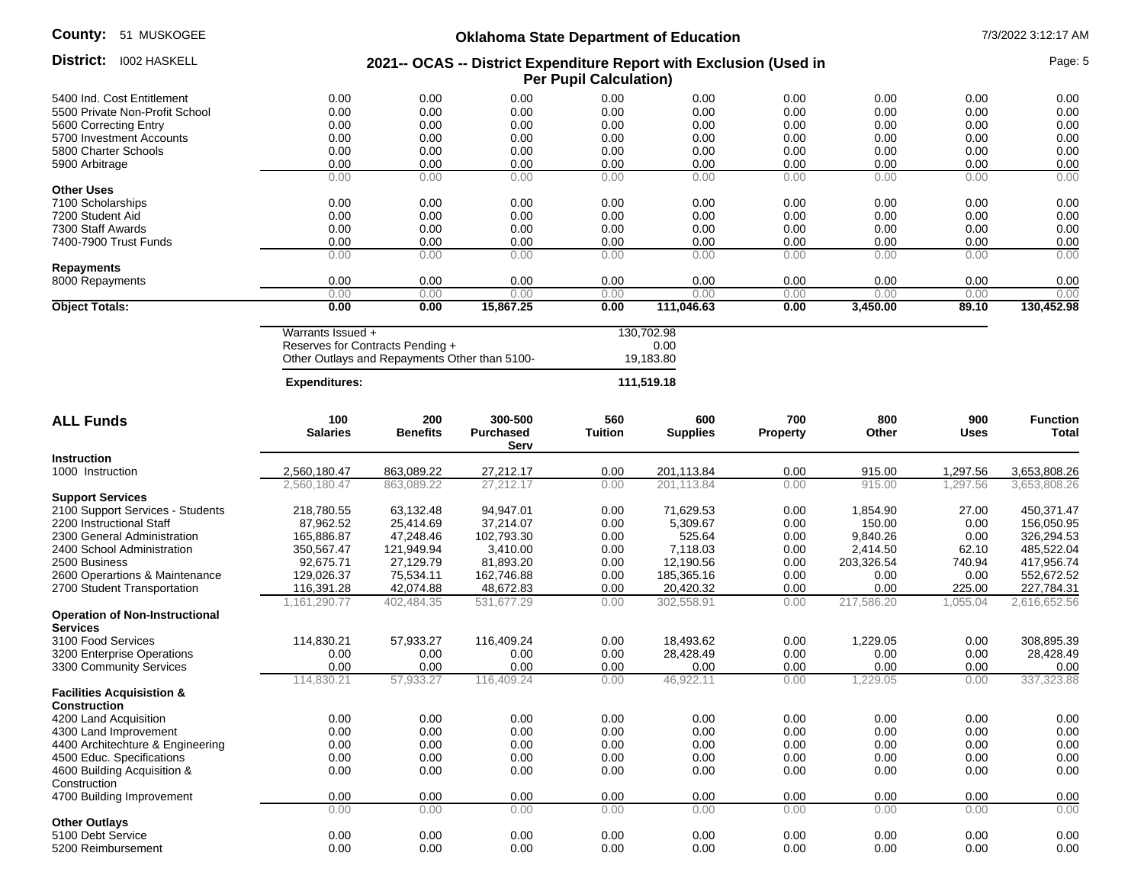| County:<br>51 MUSKOGEE                | <b>Oklahoma State Department of Education</b>                                                       |                                                                                   |                             |                       |                                 |                        |              |               | 7/3/2022 3:12:17 AM      |  |
|---------------------------------------|-----------------------------------------------------------------------------------------------------|-----------------------------------------------------------------------------------|-----------------------------|-----------------------|---------------------------------|------------------------|--------------|---------------|--------------------------|--|
| District: 1002 HASKELL                | 2021-- OCAS -- District Expenditure Report with Exclusion (Used in<br><b>Per Pupil Calculation)</b> |                                                                                   |                             |                       |                                 |                        |              | Page: 5       |                          |  |
| 5400 Ind. Cost Entitlement            | 0.00                                                                                                | 0.00                                                                              | 0.00                        | 0.00                  | 0.00                            | 0.00                   | 0.00         | 0.00          | 0.00                     |  |
| 5500 Private Non-Profit School        | 0.00                                                                                                | 0.00                                                                              | 0.00                        | 0.00                  | 0.00                            | 0.00                   | 0.00         | 0.00          | 0.00                     |  |
| 5600 Correcting Entry                 | 0.00                                                                                                | 0.00                                                                              | 0.00                        | 0.00                  | 0.00                            | 0.00                   | 0.00         | 0.00          | 0.00                     |  |
| 5700 Investment Accounts              | 0.00                                                                                                | 0.00                                                                              | 0.00                        | 0.00                  | 0.00                            | 0.00                   | 0.00         | 0.00          | 0.00                     |  |
| 5800 Charter Schools                  | 0.00                                                                                                | 0.00                                                                              | 0.00                        | 0.00                  | 0.00                            | 0.00                   | 0.00         | 0.00          | 0.00                     |  |
| 5900 Arbitrage                        | 0.00                                                                                                | 0.00                                                                              | 0.00                        | 0.00                  | 0.00                            | 0.00                   | 0.00         | 0.00          | 0.00                     |  |
|                                       | 0.00                                                                                                | 0.00                                                                              | 0.00                        | 0.00                  | 0.00                            | 0.00                   | 0.00         | 0.00          | 0.00                     |  |
| <b>Other Uses</b>                     |                                                                                                     |                                                                                   |                             |                       |                                 |                        |              |               |                          |  |
|                                       | 0.00                                                                                                | 0.00                                                                              | 0.00                        | 0.00                  | 0.00                            | 0.00                   | 0.00         | 0.00          | 0.00                     |  |
| 7100 Scholarships<br>7200 Student Aid | 0.00                                                                                                | 0.00                                                                              | 0.00                        | 0.00                  | 0.00                            | 0.00                   | 0.00         | 0.00          | 0.00                     |  |
|                                       |                                                                                                     |                                                                                   |                             | 0.00                  |                                 |                        |              |               |                          |  |
| 7300 Staff Awards                     | 0.00                                                                                                | 0.00                                                                              | 0.00                        |                       | 0.00                            | 0.00                   | 0.00         | 0.00          | 0.00                     |  |
| 7400-7900 Trust Funds                 | 0.00                                                                                                | 0.00                                                                              | 0.00                        | 0.00                  | 0.00                            | 0.00                   | 0.00         | 0.00          | 0.00                     |  |
|                                       | 0.00                                                                                                | 0.00                                                                              | 0.00                        | 0.00                  | 0.00                            | 0.00                   | 0.00         | 0.00          | 0.00                     |  |
| <b>Repayments</b>                     |                                                                                                     |                                                                                   |                             |                       |                                 |                        |              |               |                          |  |
| 8000 Repayments                       | 0.00                                                                                                | 0.00                                                                              | 0.00                        | 0.00                  | 0.00                            | 0.00                   | 0.00         | 0.00          | 0.00                     |  |
|                                       | 0.00<br>0.00                                                                                        | 0.00<br>0.00                                                                      | 0.00<br>15,867.25           | 0.00<br>0.00          | 0.00<br>111,046.63              | 0.00<br>0.00           | 0.00         | 0.00<br>89.10 | 0.00                     |  |
| <b>Object Totals:</b>                 |                                                                                                     |                                                                                   |                             |                       |                                 |                        | 3,450.00     |               | 130,452.98               |  |
|                                       | Warrants Issued +                                                                                   | Reserves for Contracts Pending +<br>Other Outlays and Repayments Other than 5100- |                             |                       | 130,702.98<br>0.00<br>19,183.80 |                        |              |               |                          |  |
|                                       | <b>Expenditures:</b>                                                                                |                                                                                   |                             |                       | 111,519.18                      |                        |              |               |                          |  |
| <b>ALL Funds</b>                      | 100<br><b>Salaries</b>                                                                              | 200<br><b>Benefits</b>                                                            | 300-500<br><b>Purchased</b> | 560<br><b>Tuition</b> | 600<br><b>Supplies</b>          | 700<br><b>Property</b> | 800<br>Other | 900<br>Uses   | <b>Function</b><br>Total |  |
|                                       |                                                                                                     |                                                                                   | Serv                        |                       |                                 |                        |              |               |                          |  |
| <b>Instruction</b>                    |                                                                                                     |                                                                                   |                             |                       |                                 |                        |              |               |                          |  |
| 1000 Instruction                      | 2,560,180.47                                                                                        | 863,089.22                                                                        | 27,212.17                   | 0.00                  | 201,113.84                      | 0.00                   | 915.00       | 1,297.56      | 3,653,808.26             |  |
|                                       | 2,560,180.47                                                                                        | 863,089.22                                                                        | 27,212.17                   | 0.00                  | 201,113.84                      | 0.00                   | 915.00       | 1.297.56      | 3,653,808.26             |  |
| <b>Support Services</b>               |                                                                                                     |                                                                                   |                             |                       |                                 |                        |              |               |                          |  |
| 2100 Support Services - Students      | 218,780.55                                                                                          | 63,132.48                                                                         | 94,947.01                   | 0.00                  | 71,629.53                       | 0.00                   | 1,854.90     | 27.00         | 450,371.47               |  |
| 2200 Instructional Staff              | 87,962.52                                                                                           | 25,414.69                                                                         | 37,214.07                   | 0.00                  | 5,309.67                        | 0.00                   | 150.00       | 0.00          | 156,050.95               |  |
| 2300 General Administration           | 165,886.87                                                                                          | 47,248.46                                                                         | 102,793.30                  | 0.00                  | 525.64                          | 0.00                   | 9,840.26     | 0.00          | 326,294.53               |  |
| 2400 School Administration            | 350,567.47                                                                                          | 121,949.94                                                                        | 3,410.00                    | 0.00                  | 7,118.03                        | 0.00                   | 2,414.50     | 62.10         | 485,522.04               |  |
| 2500 Business                         | 92,675.71                                                                                           | 27,129.79                                                                         | 81,893.20                   | 0.00                  | 12,190.56                       | 0.00                   | 203,326.54   | 740.94        | 417,956.74               |  |
| 2600 Operartions & Maintenance        | 129,026.37                                                                                          | 75,534.11                                                                         | 162,746.88                  | 0.00                  | 185,365.16                      | 0.00                   | 0.00         | 0.00          | 552,672.52               |  |
| 2700 Student Transportation           | 116,391.28                                                                                          | 42,074.88                                                                         | 48,672.83                   | 0.00                  | 20,420.32                       | 0.00                   | 0.00         | 225.00        | 227,784.31               |  |
|                                       | 1,161,290.77                                                                                        | 402,484.35                                                                        | 531,677.29                  | 0.00                  | 302,558.91                      | 0.00                   | 217,586.20   | 1,055.04      | 2,616,652.56             |  |
| <b>Operation of Non-Instructional</b> |                                                                                                     |                                                                                   |                             |                       |                                 |                        |              |               |                          |  |
| <b>Services</b>                       |                                                                                                     |                                                                                   |                             |                       |                                 |                        |              |               |                          |  |
| 3100 Food Services                    | 114,830.21                                                                                          | 57,933.27                                                                         | 116,409.24                  | 0.00                  | 18,493.62                       | 0.00                   | 1,229.05     | 0.00          | 308,895.39               |  |
| 3200 Enterprise Operations            | 0.00                                                                                                | 0.00                                                                              | 0.00                        | 0.00                  | 28,428.49                       | 0.00                   | 0.00         | 0.00          | 28,428.49                |  |
| 3300 Community Services               | 0.00                                                                                                | 0.00                                                                              | 0.00                        | 0.00                  | 0.00                            | 0.00                   | 0.00         | 0.00          | 0.00                     |  |
|                                       | 114,830.21                                                                                          | 57,933.27                                                                         | 116,409.24                  | 0.00                  | 46,922.11                       | 0.00                   | 1,229.05     | 0.00          | 337,323.88               |  |
| <b>Facilities Acquisistion &amp;</b>  |                                                                                                     |                                                                                   |                             |                       |                                 |                        |              |               |                          |  |
| <b>Construction</b>                   |                                                                                                     |                                                                                   |                             |                       |                                 |                        |              |               |                          |  |
| 4200 Land Acquisition                 | 0.00                                                                                                | 0.00                                                                              | 0.00                        | 0.00                  | 0.00                            | 0.00                   | 0.00         | 0.00          | 0.00                     |  |
| 4300 Land Improvement                 | 0.00                                                                                                | 0.00                                                                              | 0.00                        | 0.00                  | 0.00                            | 0.00                   | 0.00         | 0.00          | 0.00                     |  |
| 4400 Architechture & Engineering      | 0.00                                                                                                | 0.00                                                                              | 0.00                        | 0.00                  | 0.00                            | 0.00                   | 0.00         | 0.00          | 0.00                     |  |
| 4500 Educ. Specifications             | 0.00                                                                                                | 0.00                                                                              | 0.00                        | 0.00                  | 0.00                            | 0.00                   | 0.00         | 0.00          | 0.00                     |  |
| 4600 Building Acquisition &           | 0.00                                                                                                | 0.00                                                                              | 0.00                        | 0.00                  | 0.00                            | 0.00                   | 0.00         | 0.00          | 0.00                     |  |
| Construction                          |                                                                                                     |                                                                                   |                             |                       |                                 |                        |              |               |                          |  |
| 4700 Building Improvement             | 0.00                                                                                                | 0.00                                                                              | 0.00                        | 0.00                  | 0.00                            | 0.00                   | 0.00         | 0.00          | 0.00                     |  |
|                                       | 0.00                                                                                                | 0.00                                                                              | 0.00                        | 0.00                  | 0.00                            | 0.00                   | 0.00         | 0.00          | 0.00                     |  |
| <b>Other Outlays</b>                  |                                                                                                     |                                                                                   |                             |                       |                                 |                        |              |               |                          |  |
| 5100 Debt Service                     | 0.00                                                                                                | 0.00                                                                              | 0.00                        | 0.00                  | 0.00                            | 0.00                   | 0.00         | 0.00          | 0.00                     |  |

5200 Reimbursement 0.00 0.00 0.00 0.00 0.00 0.00 0.00 0.00 0.00